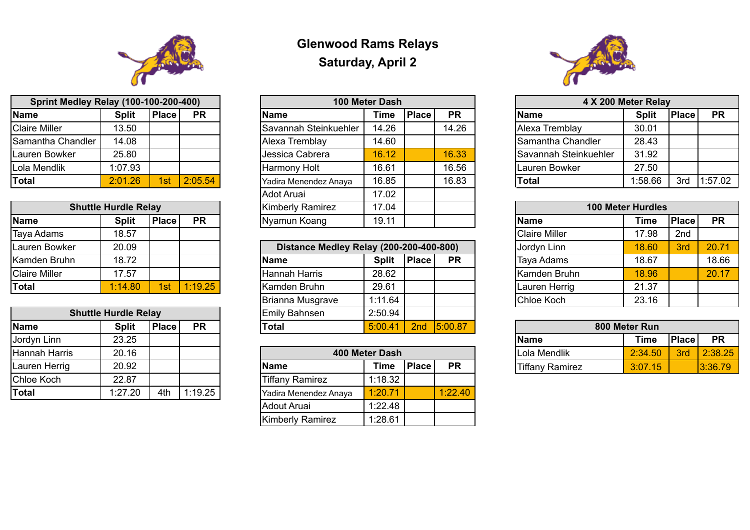## **Glenwood Rams Relays Saturday, April 2**

| <b>Sprint Medley Relay (100-100-200-400)</b> |              |              |           | 100 Meter Dash               |             |              |           | 4 X 200 Meter Relay          |              |              |           |
|----------------------------------------------|--------------|--------------|-----------|------------------------------|-------------|--------------|-----------|------------------------------|--------------|--------------|-----------|
| <b>Name</b>                                  | <b>Split</b> | <b>Place</b> | <b>PR</b> | <b>Name</b>                  | <b>Time</b> | <b>Place</b> | <b>PR</b> | <b>Name</b>                  | <b>Split</b> | <b>Place</b> | <b>PR</b> |
| <b>Claire Miller</b>                         | 3.50         |              |           | <b>Savannah Steinkuehler</b> | 14.26       |              | 14.26     | Alexa Tremblav               | 30.01        |              |           |
| Samantha Chandler                            | 14.08        |              |           | Alexa Tremblay               | 14.60       |              |           | <b>Samantha Chandler</b>     | 28.43        |              |           |
| Lauren Bowker                                | 25.80        |              |           | Uessica Cabrera              | 16.12       |              | 16.33     | <b>Savannah Steinkuehler</b> | 31.92        |              |           |
| Lola Mendlik                                 | 1:07.93      |              |           | Harmony Holt                 | 16.61       |              | 16.56     | Lauren Bowker                | 27.50        |              |           |
| <b>Total</b>                                 | 2:01.26      | 1st          | 2:05.54   | Yadira Menendez Anaya        | 16.85       |              | 16.83     | 'Total                       | 1:58.66      | 3rd          | 1:57.02   |
|                                              |              |              |           | $A \sim 4 \sim 1$            | 1700        |              |           |                              |              |              |           |

| <b>Sprint Medley Relay (100-100-200-400)</b> |              |              |           |  | 100 Meter Dash          |             |              | 4 X 200 Meter Relay |                       |                          |              |           |
|----------------------------------------------|--------------|--------------|-----------|--|-------------------------|-------------|--------------|---------------------|-----------------------|--------------------------|--------------|-----------|
| <b>Name</b>                                  | <b>Split</b> | <b>Place</b> | <b>PR</b> |  | <b>Name</b>             | <b>Time</b> | <b>Place</b> | <b>PR</b>           | <b>Name</b>           | <b>Split</b>             | <b>Place</b> | <b>PR</b> |
| <b>Claire Miller</b>                         | 13.50        |              |           |  | Savannah Steinkuehler   | 14.26       |              | 14.26               | Alexa Tremblay        | 30.01                    |              |           |
| Samantha Chandler                            | 14.08        |              |           |  | Alexa Tremblay          | 14.60       |              |                     | Samantha Chandler     | 28.43                    |              |           |
| Lauren Bowker                                | 25.80        |              |           |  | Jessica Cabrera         | 16.12       |              | 16.33               | Savannah Steinkuehler | 31.92                    |              |           |
| Lola Mendlik                                 | 1:07.93      |              |           |  | Harmony Holt            | 16.61       |              | 16.56               | Lauren Bowker         | 27.50                    |              |           |
| Total                                        | 2:01.26      | 1st          | 2:05.54   |  | Yadira Menendez Anaya   | 16.85       |              | 16.83               | <b>Total</b>          | 1:58.66                  | 3rd          | 1:57.02   |
|                                              |              |              |           |  | Adot Aruai              | 17.02       |              |                     |                       |                          |              |           |
| <b>Shuttle Hurdle Relay</b>                  |              |              |           |  | <b>Kimberly Ramirez</b> | 17.04       |              |                     |                       | <b>100 Meter Hurdles</b> |              |           |
| <b>Name</b>                                  | <b>Split</b> | <b>Place</b> | <b>PR</b> |  | Nyamun Koang            | 19.11       |              |                     | Name                  | Time                     | <b>Place</b> | <b>PR</b> |
|                                              |              |              |           |  |                         |             |              |                     |                       |                          |              |           |



| <b>Sprint Medley Relay (100-100-200-400)</b> |              |              |           |  |  |  |  |  |  |  |  |
|----------------------------------------------|--------------|--------------|-----------|--|--|--|--|--|--|--|--|
| <b>Name</b>                                  | <b>Split</b> | <b>Place</b> | <b>PR</b> |  |  |  |  |  |  |  |  |
| Claire Miller                                | 13.50        |              |           |  |  |  |  |  |  |  |  |
| Samantha Chandler                            | 14.08        |              |           |  |  |  |  |  |  |  |  |
| <b>Lauren Bowker</b>                         | 25.80        |              |           |  |  |  |  |  |  |  |  |
| Lola Mendlik                                 | 1:07.93      |              |           |  |  |  |  |  |  |  |  |
| <b>Total</b>                                 | 2:01.26      | 1st          | 2:05.54   |  |  |  |  |  |  |  |  |

|                      | <b>Shuttle Hurdle Relay</b> |              |           | <b>Kimberly Ramirez</b>                             | 17.04        |              |           | <b>100 Meter Hurdles</b> |                      |       |              |
|----------------------|-----------------------------|--------------|-----------|-----------------------------------------------------|--------------|--------------|-----------|--------------------------|----------------------|-------|--------------|
| Name                 | <b>Split</b>                | <b>Place</b> | <b>PR</b> | 19.11<br>Nyamun Koang<br><b>Time</b><br><b>Name</b> |              |              |           |                          |                      |       | <b>Place</b> |
| Taya Adams           | 18.57                       |              |           |                                                     |              |              |           |                          | <b>Claire Miller</b> | 17.98 | 2nd          |
| Lauren Bowker        | 20.09                       |              |           | Distance Medley Relay (200-200-400-800)             |              |              |           |                          | Jordyn Linn          | 18.60 | 3rd          |
| Kamden Bruhn         | 18.72                       |              |           | <b>Name</b>                                         | <b>Split</b> | <b>Place</b> | <b>PR</b> |                          | <b>Taya Adams</b>    | 18.67 |              |
| <b>Claire Miller</b> | 17.57                       |              |           | <b>Hannah Harris</b>                                | 28.62        |              |           |                          | <b>Kamden Bruhn</b>  | 18.96 |              |
| <b>Total</b>         | 1:14.80                     | 1st          | 1:19.25   | Kamden Bruhn                                        | 29.61        |              |           |                          | Lauren Herrig        | 21.37 |              |

| Lauren Bowker        | 20.09                       |              |           | Distance Medley Relay (200-200-400-800) |              |              |           | Uordyn Linn         | 18.60         | 3rd | 20.71 |
|----------------------|-----------------------------|--------------|-----------|-----------------------------------------|--------------|--------------|-----------|---------------------|---------------|-----|-------|
| Kamden Bruhn         | 18.72                       |              |           | <b>Name</b>                             | <b>Split</b> | <b>Place</b> | <b>PR</b> | <b>Taya Adams</b>   | 18.67         |     | 18.66 |
| <b>Claire Miller</b> | 17.57                       |              |           | Hannah Harris                           | 28.62        |              |           | <b>Kamden Bruhn</b> | 18.96         |     | 20.17 |
| <b>Total</b>         | 1:14.80                     | 1st          | 1:19.25   | <b>Kamden Bruhn</b>                     | 29.61        |              |           | Lauren Herrig       | 21.37         |     |       |
|                      |                             |              |           | Brianna Musgrave                        | 1:11.64      |              |           | Chloe Koch          | 23.16         |     |       |
|                      | <b>Shuttle Hurdle Relay</b> |              |           | Emily Bahnsen                           | 2:50.94      |              |           |                     |               |     |       |
| <b>Name</b>          | <b>Split</b>                | <b>Place</b> | <b>PR</b> | Total                                   | 5:00.41      | 2nd          | 15:00.87  |                     | 800 Meter Run |     |       |

| <b>Name</b>          |
|----------------------|
| <b>Claire Miller</b> |
| Jordyn Linn          |
| <b>Taya Adams</b>    |
| Kamden Bru           |
| Lauren Herri         |
| <b>Chloe Koch</b>    |

| <b>Name</b> |
|-------------|
| .ola Mendl  |
| ffany Ran   |

| <b>100 Meter Hurdles</b> |             |              |           |  |  |  |  |  |  |  |
|--------------------------|-------------|--------------|-----------|--|--|--|--|--|--|--|
|                          | <b>Time</b> | <b>Place</b> | <b>PR</b> |  |  |  |  |  |  |  |
|                          | 17.98       | 2nd          |           |  |  |  |  |  |  |  |
|                          | 18.60       | <b>3rd</b>   | 20.71     |  |  |  |  |  |  |  |
|                          | 18.67       |              | 18.66     |  |  |  |  |  |  |  |
| ıhn                      | 18.96       |              | 20.17     |  |  |  |  |  |  |  |
| ig                       | 21.37       |              |           |  |  |  |  |  |  |  |
|                          | 23.16       |              |           |  |  |  |  |  |  |  |

| 800 Meter Run |             |       |           |  |  |  |  |  |  |  |  |
|---------------|-------------|-------|-----------|--|--|--|--|--|--|--|--|
|               | <b>Time</b> | Place | <b>PR</b> |  |  |  |  |  |  |  |  |
|               | 2:34.50     | 3rd   | 2:38.25   |  |  |  |  |  |  |  |  |
| irez          | 3:07.15     |       | 3:36.79   |  |  |  |  |  |  |  |  |

|                      | <b>Shuttle Hurdle Relay</b> |              |           | <b>Emily Bahnsen</b>   | 2:50.94        |              |           |                 |               |              |           |
|----------------------|-----------------------------|--------------|-----------|------------------------|----------------|--------------|-----------|-----------------|---------------|--------------|-----------|
| <b>Name</b>          | <b>Split</b>                | <b>Place</b> | <b>PR</b> | 'Total                 | 5:00.41        | 2nd          | 5:00.87   |                 | 800 Meter Run |              |           |
| Uordyn Linn          | 23.25                       |              |           |                        |                |              |           | Name            | <b>Time</b>   | <b>Place</b> | <b>PR</b> |
| <b>Hannah Harris</b> | 20.16                       |              |           |                        | 400 Meter Dash |              |           | Lola Mendlik    | 2:34.50       | 3rd          | 2:38.2    |
| Lauren Herrig        | 20.92                       |              |           | <b>Name</b>            | <b>Time</b>    | <b>Place</b> | <b>PR</b> | Tiffany Ramirez | 3:07.15       |              | 3:36.79   |
| Chloe Koch           | 22.87                       |              |           | <b>Tiffany Ramirez</b> | 1:18.32        |              |           |                 |               |              |           |
| Total                | 1:27.20                     | 4th          | 1:19.25   | Yadira Menendez Anaya  | 1:20.71        |              | 1:22.40   |                 |               |              |           |

| Hannah Harris | 20.16   |     |         |                         | 400 Meter Dash |              |           | Lola Mendlik           | 2:34.50 | 3rd | 2:38.25 |
|---------------|---------|-----|---------|-------------------------|----------------|--------------|-----------|------------------------|---------|-----|---------|
| Lauren Herrig | 20.92   |     |         | <b>Name</b>             | Time           | <b>Place</b> | <b>PR</b> | <b>Tiffany Ramirez</b> | 3:07.15 |     | 3:36.79 |
| Chloe Koch    | 22.87   |     |         | <b>Tiffany Ramirez</b>  | 1:18.32        |              |           |                        |         |     |         |
| <b>Total</b>  | 1:27.20 | 4th | 1:19.25 | Yadira Menendez Anaya   | 1:20.71        |              | 1:22.40   |                        |         |     |         |
|               |         |     |         | Adout Aruai             | 1:22.48        |              |           |                        |         |     |         |
|               |         |     |         | <b>Kimberly Ramirez</b> | 1:28.61        |              |           |                        |         |     |         |